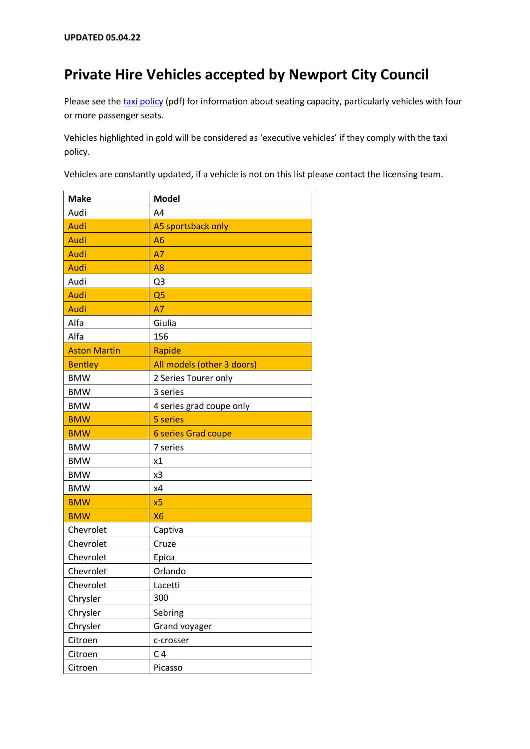## **Private Hire Vehicles accepted by Newport City Council**

Please see th[e taxi policy](http://www.newport.gov.uk/documents/Business/Licences-and-permits/Taxl-Licensing-Policy-from-01December2017.pdf) (pdf) for information about seating capacity, particularly vehicles with four or more passenger seats.

Vehicles highlighted in gold will be considered as 'executive vehicles' if they comply with the taxi policy.

Vehicles are constantly updated, if a vehicle is not on this list please contact the licensing team.

| <b>Make</b>         | <b>Model</b>               |
|---------------------|----------------------------|
| Audi                | A <sub>4</sub>             |
| Audi                | A5 sportsback only         |
| Audi                | A <sub>6</sub>             |
| Audi                | <b>A7</b>                  |
| Audi                | A <sub>8</sub>             |
| Audi                | Q <sub>3</sub>             |
| Audi                | Q <sub>5</sub>             |
| Audi                | <b>A7</b>                  |
| Alfa                | Giulia                     |
| Alfa                | 156                        |
| <b>Aston Martin</b> | Rapide                     |
| <b>Bentley</b>      | All models (other 3 doors) |
| <b>BMW</b>          | 2 Series Tourer only       |
| <b>BMW</b>          | 3 series                   |
| <b>BMW</b>          | 4 series grad coupe only   |
| <b>BMW</b>          | 5 series                   |
| <b>BMW</b>          | <b>6 series Grad coupe</b> |
| <b>BMW</b>          | 7 series                   |
| <b>BMW</b>          | x1                         |
| <b>BMW</b>          | x3                         |
| <b>BMW</b>          | x4                         |
| <b>BMW</b>          | x <sub>5</sub>             |
| <b>BMW</b>          | <b>X6</b>                  |
| Chevrolet           | Captiva                    |
| Chevrolet           | Cruze                      |
| Chevrolet           | Epica                      |
| Chevrolet           | Orlando                    |
| Chevrolet           | Lacetti                    |
| Chrysler            | 300                        |
| Chrysler            | Sebring                    |
| Chrysler            | Grand voyager              |
| Citroen             | c-crosser                  |
| Citroen             | C <sub>4</sub>             |
| Citroen             | Picasso                    |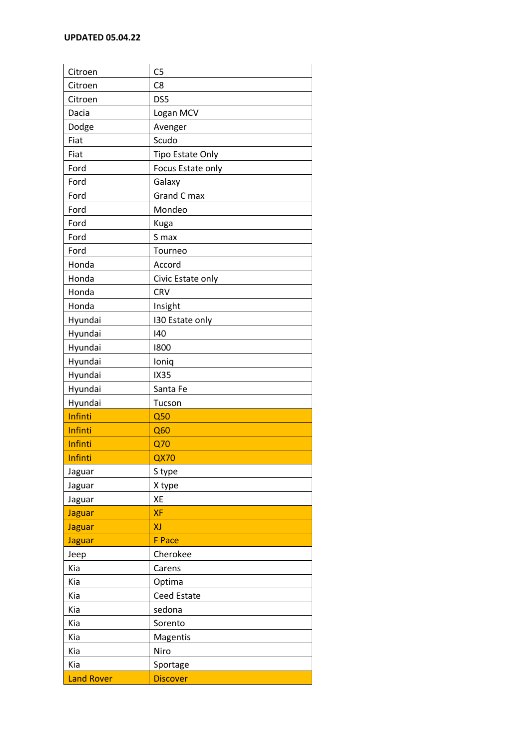| Citroen           | C <sub>5</sub>     |
|-------------------|--------------------|
| Citroen           | C <sub>8</sub>     |
| Citroen           | DS5                |
| Dacia             | Logan MCV          |
| Dodge             | Avenger            |
| Fiat              | Scudo              |
| Fiat              | Tipo Estate Only   |
| Ford              | Focus Estate only  |
| Ford              | Galaxy             |
| Ford              | Grand C max        |
| Ford              | Mondeo             |
| Ford              | Kuga               |
| Ford              | S max              |
| Ford              | Tourneo            |
| Honda             | Accord             |
| Honda             | Civic Estate only  |
| Honda             | CRV                |
| Honda             | Insight            |
| Hyundai           | 130 Estate only    |
| Hyundai           | 140                |
| Hyundai           | 1800               |
| Hyundai           | loniq              |
| Hyundai           | <b>IX35</b>        |
| Hyundai           | Santa Fe           |
| Hyundai           | Tucson             |
| Infinti           | Q50                |
| Infinti           | Q60                |
| Infinti           | Q70                |
| Infinti           | <b>QX70</b>        |
| Jaguar            | S type             |
| Jaguar            | X type             |
| Jaguar            | XE                 |
| <b>Jaguar</b>     | XF                 |
| <b>Jaguar</b>     | XJ                 |
| <b>Jaguar</b>     | <b>F</b> Pace      |
| Jeep              | Cherokee           |
| Kia               | Carens             |
| Kia               | Optima             |
| Kia               | <b>Ceed Estate</b> |
| Kia               | sedona             |
| Kia               | Sorento            |
| Kia               | Magentis           |
| Kia               | Niro               |
| Kia               | Sportage           |
| <b>Land Rover</b> | <b>Discover</b>    |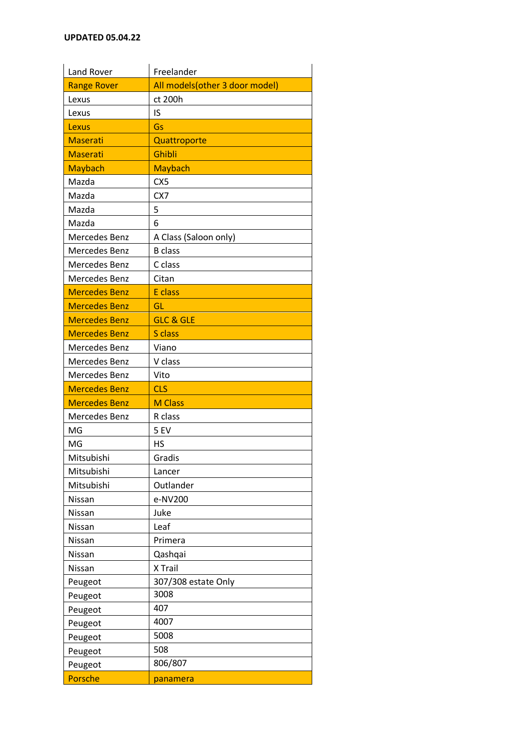| Land Rover           | Freelander                      |
|----------------------|---------------------------------|
| <b>Range Rover</b>   | All models (other 3 door model) |
| Lexus                | ct 200h                         |
| Lexus                | IS                              |
| Lexus                | Gs                              |
| <b>Maserati</b>      | Quattroporte                    |
| <b>Maserati</b>      | Ghibli                          |
| <b>Maybach</b>       | <b>Maybach</b>                  |
| Mazda                | CX <sub>5</sub>                 |
| Mazda                | CX7                             |
| Mazda                | 5                               |
| Mazda                | 6                               |
| Mercedes Benz        | A Class (Saloon only)           |
| Mercedes Benz        | <b>B</b> class                  |
| Mercedes Benz        | C class                         |
| Mercedes Benz        | Citan                           |
| <b>Mercedes Benz</b> | E class                         |
| <b>Mercedes Benz</b> | GL                              |
| <b>Mercedes Benz</b> | <b>GLC &amp; GLE</b>            |
| <b>Mercedes Benz</b> | S class                         |
| Mercedes Benz        | Viano                           |
| Mercedes Benz        | V class                         |
| Mercedes Benz        | Vito                            |
| <b>Mercedes Benz</b> | <b>CLS</b>                      |
| <b>Mercedes Benz</b> | <b>M Class</b>                  |
| Mercedes Benz        | R class                         |
| MG                   | 5EV                             |
| MG                   | HS                              |
| Mitsubishi           | Gradis                          |
| Mitsubishi           | Lancer                          |
| Mitsubishi           | Outlander                       |
| Nissan               | e-NV200                         |
| Nissan               | Juke                            |
| Nissan               | Leaf                            |
| Nissan               | Primera                         |
| Nissan               | Qashqai                         |
| Nissan               | X Trail                         |
| Peugeot              | 307/308 estate Only             |
| Peugeot              | 3008                            |
| Peugeot              | 407                             |
| Peugeot              | 4007                            |
| Peugeot              | 5008                            |
|                      |                                 |
| Peugeot              | 508                             |
| Peugeot              | 806/807                         |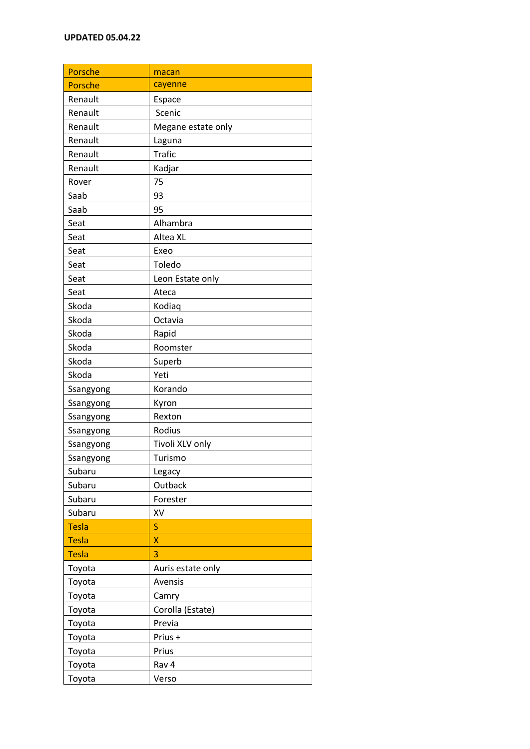| Porsche      | macan              |
|--------------|--------------------|
| Porsche      | cayenne            |
| Renault      | Espace             |
| Renault      | Scenic             |
| Renault      | Megane estate only |
| Renault      | Laguna             |
| Renault      | <b>Trafic</b>      |
| Renault      | Kadjar             |
| Rover        | 75                 |
| Saab         | 93                 |
| Saab         | 95                 |
| Seat         | Alhambra           |
| Seat         | Altea XL           |
| Seat         | Exeo               |
| Seat         | Toledo             |
| Seat         | Leon Estate only   |
| Seat         | Ateca              |
| Skoda        | Kodiaq             |
| Skoda        | Octavia            |
| Skoda        | Rapid              |
| Skoda        | Roomster           |
| Skoda        | Superb             |
| Skoda        | Yeti               |
| Ssangyong    | Korando            |
| Ssangyong    | Kyron              |
| Ssangyong    | Rexton             |
| Ssangyong    | Rodius             |
| Ssangyong    | Tivoli XLV only    |
| Ssangyong    | Turismo            |
| Subaru       | Legacy             |
| Subaru       | Outback            |
| Subaru       | Forester           |
| Subaru       | XV                 |
| <b>Tesla</b> | S                  |
| <b>Tesla</b> | X                  |
| <b>Tesla</b> | 3                  |
| Toyota       | Auris estate only  |
| Toyota       | Avensis            |
| Toyota       | Camry              |
| Toyota       | Corolla (Estate)   |
| Toyota       | Previa             |
| Toyota       | Prius +            |
| Toyota       | Prius              |
| Toyota       | Rav 4              |
| Toyota       | Verso              |